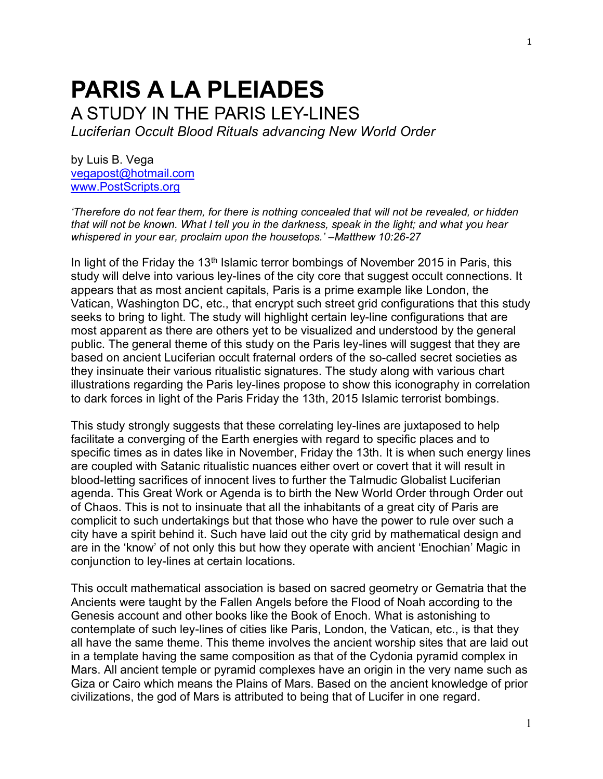# **PARIS A LA PLEIADES** A STUDY IN THE PARIS LEY-LINES *Luciferian Occult Blood Rituals advancing New World Order*

by Luis B. Vega [vegapost@hotmail.com](mailto:vegapost@hotmail.com) [www.PostScripts.org](http://www.postscripts.org/)

*'Therefore do not fear them, for there is nothing concealed that will not be revealed, or hidden that will not be known. What I tell you in the darkness, speak in the light; and what you hear whispered in your ear, proclaim upon the housetops.' –Matthew 10:26-27*

In light of the Friday the 13<sup>th</sup> Islamic terror bombings of November 2015 in Paris, this study will delve into various ley-lines of the city core that suggest occult connections. It appears that as most ancient capitals, Paris is a prime example like London, the Vatican, Washington DC, etc., that encrypt such street grid configurations that this study seeks to bring to light. The study will highlight certain ley-line configurations that are most apparent as there are others yet to be visualized and understood by the general public. The general theme of this study on the Paris ley-lines will suggest that they are based on ancient Luciferian occult fraternal orders of the so-called secret societies as they insinuate their various ritualistic signatures. The study along with various chart illustrations regarding the Paris ley-lines propose to show this iconography in correlation to dark forces in light of the Paris Friday the 13th, 2015 Islamic terrorist bombings.

This study strongly suggests that these correlating ley-lines are juxtaposed to help facilitate a converging of the Earth energies with regard to specific places and to specific times as in dates like in November, Friday the 13th. It is when such energy lines are coupled with Satanic ritualistic nuances either overt or covert that it will result in blood-letting sacrifices of innocent lives to further the Talmudic Globalist Luciferian agenda. This Great Work or Agenda is to birth the New World Order through Order out of Chaos. This is not to insinuate that all the inhabitants of a great city of Paris are complicit to such undertakings but that those who have the power to rule over such a city have a spirit behind it. Such have laid out the city grid by mathematical design and are in the 'know' of not only this but how they operate with ancient 'Enochian' Magic in conjunction to ley-lines at certain locations.

This occult mathematical association is based on sacred geometry or Gematria that the Ancients were taught by the Fallen Angels before the Flood of Noah according to the Genesis account and other books like the Book of Enoch. What is astonishing to contemplate of such ley-lines of cities like Paris, London, the Vatican, etc., is that they all have the same theme. This theme involves the ancient worship sites that are laid out in a template having the same composition as that of the Cydonia pyramid complex in Mars. All ancient temple or pyramid complexes have an origin in the very name such as Giza or Cairo which means the Plains of Mars. Based on the ancient knowledge of prior civilizations, the god of Mars is attributed to being that of Lucifer in one regard.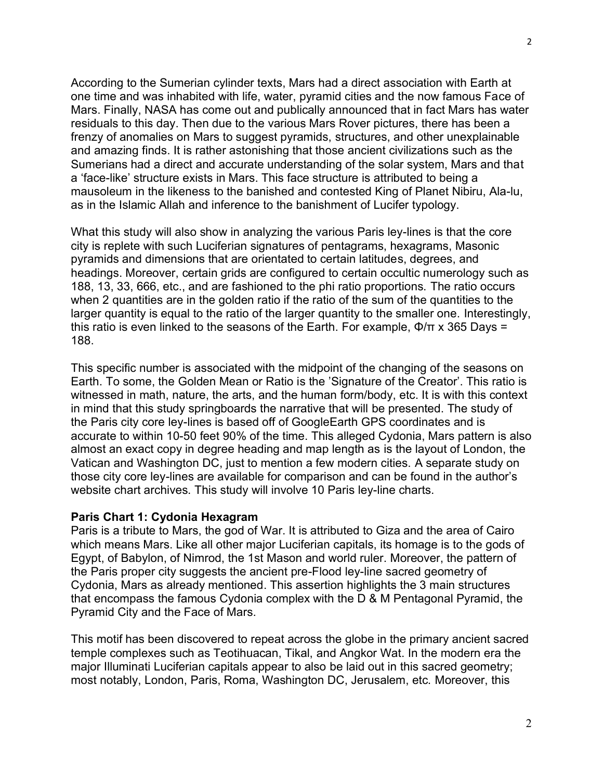According to the Sumerian cylinder texts, Mars had a direct association with Earth at one time and was inhabited with life, water, pyramid cities and the now famous Face of Mars. Finally, NASA has come out and publically announced that in fact Mars has water residuals to this day. Then due to the various Mars Rover pictures, there has been a frenzy of anomalies on Mars to suggest pyramids, structures, and other unexplainable and amazing finds. It is rather astonishing that those ancient civilizations such as the Sumerians had a direct and accurate understanding of the solar system, Mars and that a 'face-like' structure exists in Mars. This face structure is attributed to being a mausoleum in the likeness to the banished and contested King of Planet Nibiru, Ala-lu, as in the Islamic Allah and inference to the banishment of Lucifer typology.

What this study will also show in analyzing the various Paris ley-lines is that the core city is replete with such Luciferian signatures of pentagrams, hexagrams, Masonic pyramids and dimensions that are orientated to certain latitudes, degrees, and headings. Moreover, certain grids are configured to certain occultic numerology such as 188, 13, 33, 666, etc., and are fashioned to the phi ratio proportions. The ratio occurs when 2 quantities are in the golden ratio if the ratio of the sum of the quantities to the larger quantity is equal to the ratio of the larger quantity to the smaller one. Interestingly, this ratio is even linked to the seasons of the Earth. For example,  $\Phi/\pi$  x 365 Days = 188.

This specific number is associated with the midpoint of the changing of the seasons on Earth. To some, the Golden Mean or Ratio is the 'Signature of the Creator'. This ratio is witnessed in math, nature, the arts, and the human form/body, etc. It is with this context in mind that this study springboards the narrative that will be presented. The study of the Paris city core ley-lines is based off of GoogleEarth GPS coordinates and is accurate to within 10-50 feet 90% of the time. This alleged Cydonia, Mars pattern is also almost an exact copy in degree heading and map length as is the layout of London, the Vatican and Washington DC, just to mention a few modern cities. A separate study on those city core ley-lines are available for comparison and can be found in the author's website chart archives. This study will involve 10 Paris ley-line charts.

#### **Paris Chart 1: Cydonia Hexagram**

Paris is a tribute to Mars, the god of War. It is attributed to Giza and the area of Cairo which means Mars. Like all other major Luciferian capitals, its homage is to the gods of Egypt, of Babylon, of Nimrod, the 1st Mason and world ruler. Moreover, the pattern of the Paris proper city suggests the ancient pre-Flood ley-line sacred geometry of Cydonia, Mars as already mentioned. This assertion highlights the 3 main structures that encompass the famous Cydonia complex with the D & M Pentagonal Pyramid, the Pyramid City and the Face of Mars.

This motif has been discovered to repeat across the globe in the primary ancient sacred temple complexes such as Teotihuacan, Tikal, and Angkor Wat. In the modern era the major Illuminati Luciferian capitals appear to also be laid out in this sacred geometry; most notably, London, Paris, Roma, Washington DC, Jerusalem, etc. Moreover, this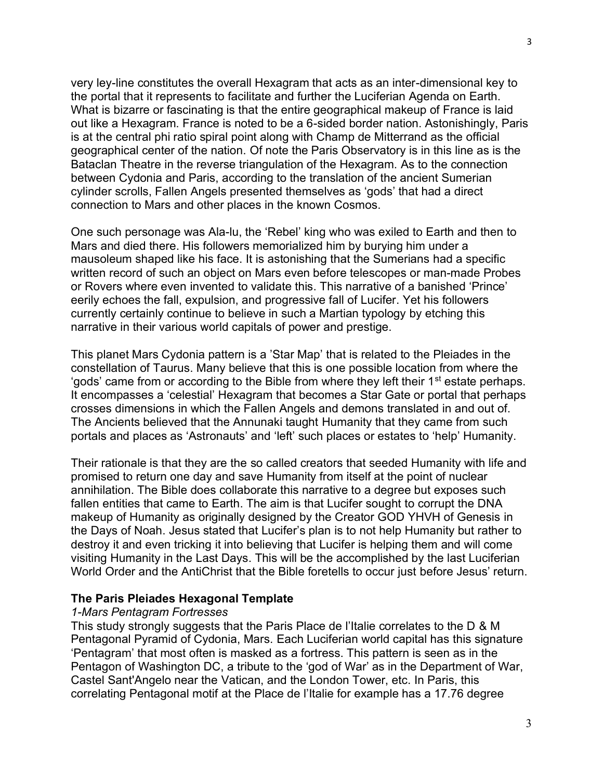very ley-line constitutes the overall Hexagram that acts as an inter-dimensional key to the portal that it represents to facilitate and further the Luciferian Agenda on Earth. What is bizarre or fascinating is that the entire geographical makeup of France is laid out like a Hexagram. France is noted to be a 6-sided border nation. Astonishingly, Paris is at the central phi ratio spiral point along with Champ de Mitterrand as the official geographical center of the nation. Of note the Paris Observatory is in this line as is the Bataclan Theatre in the reverse triangulation of the Hexagram. As to the connection between Cydonia and Paris, according to the translation of the ancient Sumerian cylinder scrolls, Fallen Angels presented themselves as 'gods' that had a direct connection to Mars and other places in the known Cosmos.

One such personage was Ala-lu, the 'Rebel' king who was exiled to Earth and then to Mars and died there. His followers memorialized him by burying him under a mausoleum shaped like his face. It is astonishing that the Sumerians had a specific written record of such an object on Mars even before telescopes or man-made Probes or Rovers where even invented to validate this. This narrative of a banished 'Prince' eerily echoes the fall, expulsion, and progressive fall of Lucifer. Yet his followers currently certainly continue to believe in such a Martian typology by etching this narrative in their various world capitals of power and prestige.

This planet Mars Cydonia pattern is a 'Star Map' that is related to the Pleiades in the constellation of Taurus. Many believe that this is one possible location from where the 'gods' came from or according to the Bible from where they left their  $1<sup>st</sup>$  estate perhaps. It encompasses a 'celestial' Hexagram that becomes a Star Gate or portal that perhaps crosses dimensions in which the Fallen Angels and demons translated in and out of. The Ancients believed that the Annunaki taught Humanity that they came from such portals and places as 'Astronauts' and 'left' such places or estates to 'help' Humanity.

Their rationale is that they are the so called creators that seeded Humanity with life and promised to return one day and save Humanity from itself at the point of nuclear annihilation. The Bible does collaborate this narrative to a degree but exposes such fallen entities that came to Earth. The aim is that Lucifer sought to corrupt the DNA makeup of Humanity as originally designed by the Creator GOD YHVH of Genesis in the Days of Noah. Jesus stated that Lucifer's plan is to not help Humanity but rather to destroy it and even tricking it into believing that Lucifer is helping them and will come visiting Humanity in the Last Days. This will be the accomplished by the last Luciferian World Order and the AntiChrist that the Bible foretells to occur just before Jesus' return.

# **The Paris Pleiades Hexagonal Template**

#### *1-Mars Pentagram Fortresses*

This study strongly suggests that the Paris Place de l'Italie correlates to the D & M Pentagonal Pyramid of Cydonia, Mars. Each Luciferian world capital has this signature 'Pentagram' that most often is masked as a fortress. This pattern is seen as in the Pentagon of Washington DC, a tribute to the 'god of War' as in the Department of War, Castel Sant'Angelo near the Vatican, and the London Tower, etc. In Paris, this correlating Pentagonal motif at the Place de l'Italie for example has a 17.76 degree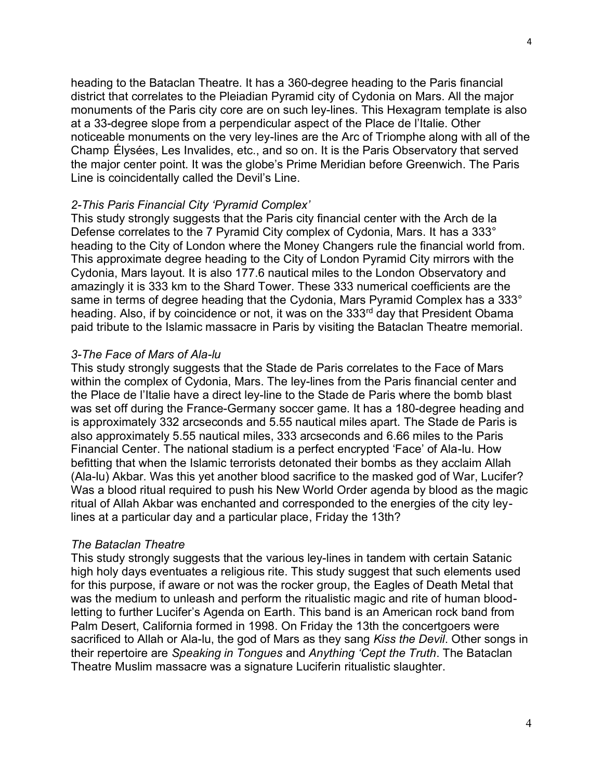heading to the Bataclan Theatre. It has a 360-degree heading to the Paris financial district that correlates to the Pleiadian Pyramid city of Cydonia on Mars. All the major monuments of the Paris city core are on such ley-lines. This Hexagram template is also at a 33-degree slope from a perpendicular aspect of the Place de l'Italie. Other noticeable monuments on the very ley-lines are the Arc of Triomphe along with all of the Champ Élysées, Les Invalides, etc., and so on. It is the Paris Observatory that served the major center point. It was the globe's Prime Meridian before Greenwich. The Paris Line is coincidentally called the Devil's Line.

#### *2-This Paris Financial City 'Pyramid Complex'*

This study strongly suggests that the Paris city financial center with the Arch de la Defense correlates to the 7 Pyramid City complex of Cydonia, Mars. It has a 333° heading to the City of London where the Money Changers rule the financial world from. This approximate degree heading to the City of London Pyramid City mirrors with the Cydonia, Mars layout. It is also 177.6 nautical miles to the London Observatory and amazingly it is 333 km to the Shard Tower. These 333 numerical coefficients are the same in terms of degree heading that the Cydonia, Mars Pyramid Complex has a 333° heading. Also, if by coincidence or not, it was on the 333<sup>rd</sup> day that President Obama paid tribute to the Islamic massacre in Paris by visiting the Bataclan Theatre memorial.

#### *3-The Face of Mars of Ala-lu*

This study strongly suggests that the Stade de Paris correlates to the Face of Mars within the complex of Cydonia, Mars. The ley-lines from the Paris financial center and the Place de l'Italie have a direct ley-line to the Stade de Paris where the bomb blast was set off during the France-Germany soccer game. It has a 180-degree heading and is approximately 332 arcseconds and 5.55 nautical miles apart. The Stade de Paris is also approximately 5.55 nautical miles, 333 arcseconds and 6.66 miles to the Paris Financial Center. The national stadium is a perfect encrypted 'Face' of Ala-lu. How befitting that when the Islamic terrorists detonated their bombs as they acclaim Allah (Ala-lu) Akbar. Was this yet another blood sacrifice to the masked god of War, Lucifer? Was a blood ritual required to push his New World Order agenda by blood as the magic ritual of Allah Akbar was enchanted and corresponded to the energies of the city leylines at a particular day and a particular place, Friday the 13th?

#### *The Bataclan Theatre*

This study strongly suggests that the various ley-lines in tandem with certain Satanic high holy days eventuates a religious rite. This study suggest that such elements used for this purpose, if aware or not was the rocker group, the Eagles of Death Metal that was the medium to unleash and perform the ritualistic magic and rite of human bloodletting to further Lucifer's Agenda on Earth. This band is an American rock band from Palm Desert, California formed in 1998. On Friday the 13th the concertgoers were sacrificed to Allah or Ala-lu, the god of Mars as they sang *Kiss the Devil*. Other songs in their repertoire are *Speaking in Tongues* and *Anything 'Cept the Truth*. The Bataclan Theatre Muslim massacre was a signature Luciferin ritualistic slaughter.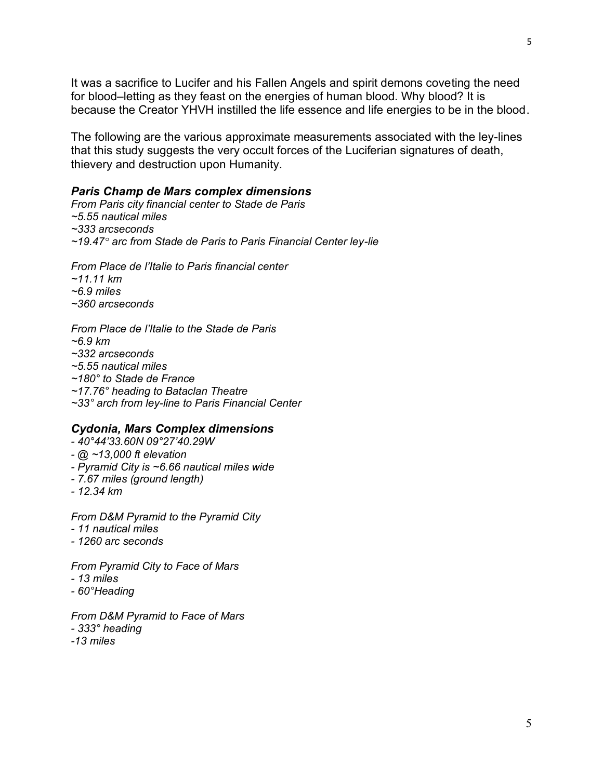It was a sacrifice to Lucifer and his Fallen Angels and spirit demons coveting the need for blood–letting as they feast on the energies of human blood. Why blood? It is because the Creator YHVH instilled the life essence and life energies to be in the blood.

The following are the various approximate measurements associated with the ley-lines that this study suggests the very occult forces of the Luciferian signatures of death, thievery and destruction upon Humanity.

#### *Paris Champ de Mars complex dimensions*

*From Paris city financial center to Stade de Paris ~5.55 nautical miles ~333 arcseconds ~19.47° arc from Stade de Paris to Paris Financial Center ley-lie*

*From Place de l'Italie to Paris financial center ~11.11 km ~6.9 miles ~360 arcseconds*

*From Place de l'Italie to the Stade de Paris ~6.9 km ~332 arcseconds ~5.55 nautical miles ~180° to Stade de France ~17.76° heading to Bataclan Theatre ~33° arch from ley-line to Paris Financial Center*

#### *Cydonia, Mars Complex dimensions*

- *- 40°44'33.60N 09°27'40.29W*
- *- @ ~13,000 ft elevation*
- *- Pyramid City is ~6.66 nautical miles wide*
- *- 7.67 miles (ground length)*
- *- 12.34 km*

*From D&M Pyramid to the Pyramid City - 11 nautical miles*

*- 1260 arc seconds*

*From Pyramid City to Face of Mars*

- *- 13 miles*
- *- 60°Heading*

*From D&M Pyramid to Face of Mars - 333° heading*

- 
- *-13 miles*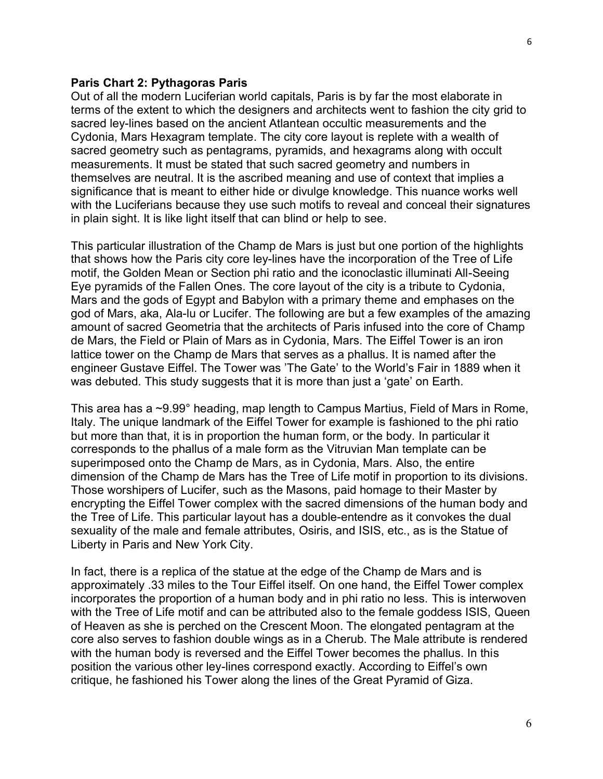#### **Paris Chart 2: Pythagoras Paris**

Out of all the modern Luciferian world capitals, Paris is by far the most elaborate in terms of the extent to which the designers and architects went to fashion the city grid to sacred ley-lines based on the ancient Atlantean occultic measurements and the Cydonia, Mars Hexagram template. The city core layout is replete with a wealth of sacred geometry such as pentagrams, pyramids, and hexagrams along with occult measurements. It must be stated that such sacred geometry and numbers in themselves are neutral. It is the ascribed meaning and use of context that implies a significance that is meant to either hide or divulge knowledge. This nuance works well with the Luciferians because they use such motifs to reveal and conceal their signatures in plain sight. It is like light itself that can blind or help to see.

This particular illustration of the Champ de Mars is just but one portion of the highlights that shows how the Paris city core ley-lines have the incorporation of the Tree of Life motif, the Golden Mean or Section phi ratio and the iconoclastic illuminati All-Seeing Eye pyramids of the Fallen Ones. The core layout of the city is a tribute to Cydonia, Mars and the gods of Egypt and Babylon with a primary theme and emphases on the god of Mars, aka, Ala-lu or Lucifer. The following are but a few examples of the amazing amount of sacred Geometria that the architects of Paris infused into the core of Champ de Mars, the Field or Plain of Mars as in Cydonia, Mars. The Eiffel Tower is an iron lattice tower on the Champ de Mars that serves as a phallus. It is named after the engineer Gustave Eiffel. The Tower was 'The Gate' to the World's Fair in 1889 when it was debuted. This study suggests that it is more than just a 'gate' on Earth.

This area has a ~9.99° heading, map length to Campus Martius, Field of Mars in Rome, Italy. The unique landmark of the Eiffel Tower for example is fashioned to the phi ratio but more than that, it is in proportion the human form, or the body. In particular it corresponds to the phallus of a male form as the Vitruvian Man template can be superimposed onto the Champ de Mars, as in Cydonia, Mars. Also, the entire dimension of the Champ de Mars has the Tree of Life motif in proportion to its divisions. Those worshipers of Lucifer, such as the Masons, paid homage to their Master by encrypting the Eiffel Tower complex with the sacred dimensions of the human body and the Tree of Life. This particular layout has a double-entendre as it convokes the dual sexuality of the male and female attributes, Osiris, and ISIS, etc., as is the Statue of Liberty in Paris and New York City.

In fact, there is a replica of the statue at the edge of the Champ de Mars and is approximately .33 miles to the Tour Eiffel itself. On one hand, the Eiffel Tower complex incorporates the proportion of a human body and in phi ratio no less. This is interwoven with the Tree of Life motif and can be attributed also to the female goddess ISIS, Queen of Heaven as she is perched on the Crescent Moon. The elongated pentagram at the core also serves to fashion double wings as in a Cherub. The Male attribute is rendered with the human body is reversed and the Eiffel Tower becomes the phallus. In this position the various other ley-lines correspond exactly. According to Eiffel's own critique, he fashioned his Tower along the lines of the Great Pyramid of Giza.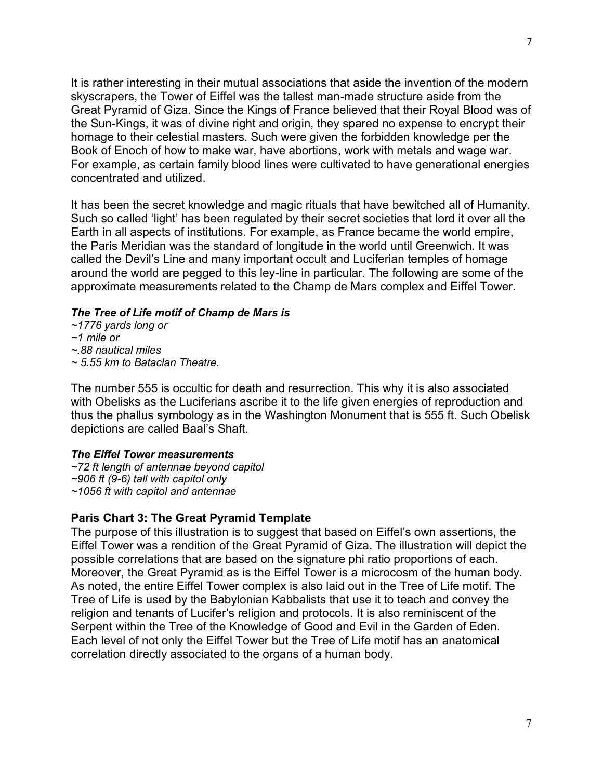It is rather interesting in their mutual associations that aside the invention of the modern skyscrapers, the Tower of Eiffel was the tallest man-made structure aside from the Great Pyramid of Giza. Since the Kings of France believed that their Royal Blood was of the Sun-Kings, it was of divine right and origin, they spared no expense to encrypt their homage to their celestial masters. Such were given the forbidden knowledge per the Book of Enoch of how to make war, have abortions, work with metals and wage war. For example, as certain family blood lines were cultivated to have generational energies concentrated and utilized.

It has been the secret knowledge and magic rituals that have bewitched all of Humanity. Such so called 'light' has been regulated by their secret societies that lord it over all the Earth in all aspects of institutions. For example, as France became the world empire, the Paris Meridian was the standard of longitude in the world until Greenwich. It was called the Devil's Line and many important occult and Luciferian temples of homage around the world are pegged to this ley-line in particular. The following are some of the approximate measurements related to the Champ de Mars complex and Eiffel Tower.

# *The Tree of Life motif of Champ de Mars is*

*~1776 yards long or ~1 mile or ~.88 nautical miles ~ 5.55 km to Bataclan Theatre.*

The number 555 is occultic for death and resurrection. This why it is also associated with Obelisks as the Luciferians ascribe it to the life given energies of reproduction and thus the phallus symbology as in the Washington Monument that is 555 ft. Such Obelisk depictions are called Baal's Shaft.

#### *The Eiffel Tower measurements*

*~72 ft length of antennae beyond capitol ~906 ft (9-6) tall with capitol only ~1056 ft with capitol and antennae*

# **Paris Chart 3: The Great Pyramid Template**

The purpose of this illustration is to suggest that based on Eiffel's own assertions, the Eiffel Tower was a rendition of the Great Pyramid of Giza. The illustration will depict the possible correlations that are based on the signature phi ratio proportions of each. Moreover, the Great Pyramid as is the Eiffel Tower is a microcosm of the human body. As noted, the entire Eiffel Tower complex is also laid out in the Tree of Life motif. The Tree of Life is used by the Babylonian Kabbalists that use it to teach and convey the religion and tenants of Lucifer's religion and protocols. It is also reminiscent of the Serpent within the Tree of the Knowledge of Good and Evil in the Garden of Eden. Each level of not only the Eiffel Tower but the Tree of Life motif has an anatomical correlation directly associated to the organs of a human body.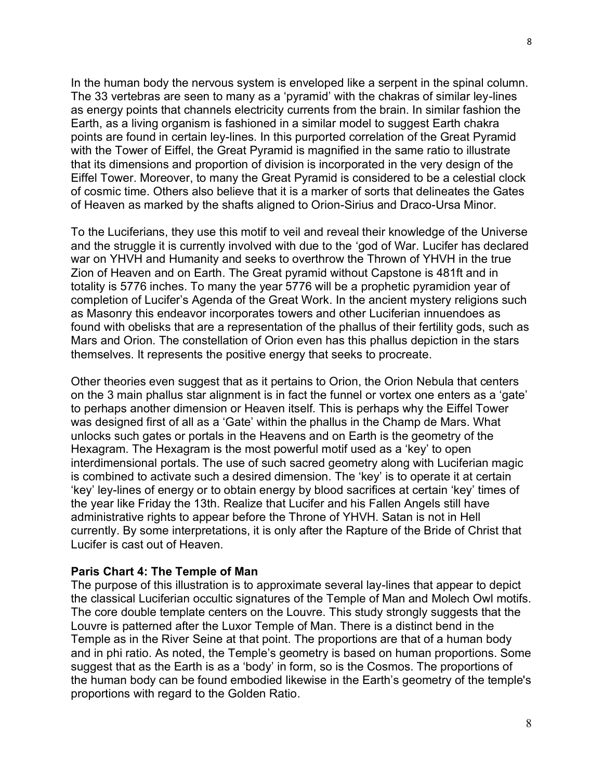In the human body the nervous system is enveloped like a serpent in the spinal column. The 33 vertebras are seen to many as a 'pyramid' with the chakras of similar ley-lines as energy points that channels electricity currents from the brain. In similar fashion the Earth, as a living organism is fashioned in a similar model to suggest Earth chakra points are found in certain ley-lines. In this purported correlation of the Great Pyramid with the Tower of Eiffel, the Great Pyramid is magnified in the same ratio to illustrate that its dimensions and proportion of division is incorporated in the very design of the Eiffel Tower. Moreover, to many the Great Pyramid is considered to be a celestial clock of cosmic time. Others also believe that it is a marker of sorts that delineates the Gates of Heaven as marked by the shafts aligned to Orion-Sirius and Draco-Ursa Minor.

To the Luciferians, they use this motif to veil and reveal their knowledge of the Universe and the struggle it is currently involved with due to the 'god of War. Lucifer has declared war on YHVH and Humanity and seeks to overthrow the Thrown of YHVH in the true Zion of Heaven and on Earth. The Great pyramid without Capstone is 481ft and in totality is 5776 inches. To many the year 5776 will be a prophetic pyramidion year of completion of Lucifer's Agenda of the Great Work. In the ancient mystery religions such as Masonry this endeavor incorporates towers and other Luciferian innuendoes as found with obelisks that are a representation of the phallus of their fertility gods, such as Mars and Orion. The constellation of Orion even has this phallus depiction in the stars themselves. It represents the positive energy that seeks to procreate.

Other theories even suggest that as it pertains to Orion, the Orion Nebula that centers on the 3 main phallus star alignment is in fact the funnel or vortex one enters as a 'gate' to perhaps another dimension or Heaven itself. This is perhaps why the Eiffel Tower was designed first of all as a 'Gate' within the phallus in the Champ de Mars. What unlocks such gates or portals in the Heavens and on Earth is the geometry of the Hexagram. The Hexagram is the most powerful motif used as a 'key' to open interdimensional portals. The use of such sacred geometry along with Luciferian magic is combined to activate such a desired dimension. The 'key' is to operate it at certain 'key' ley-lines of energy or to obtain energy by blood sacrifices at certain 'key' times of the year like Friday the 13th. Realize that Lucifer and his Fallen Angels still have administrative rights to appear before the Throne of YHVH. Satan is not in Hell currently. By some interpretations, it is only after the Rapture of the Bride of Christ that Lucifer is cast out of Heaven.

#### **Paris Chart 4: The Temple of Man**

The purpose of this illustration is to approximate several lay-lines that appear to depict the classical Luciferian occultic signatures of the Temple of Man and Molech Owl motifs. The core double template centers on the Louvre. This study strongly suggests that the Louvre is patterned after the Luxor Temple of Man. There is a distinct bend in the Temple as in the River Seine at that point. The proportions are that of a human body and in phi ratio. As noted, the Temple's geometry is based on human proportions. Some suggest that as the Earth is as a 'body' in form, so is the Cosmos. The proportions of the human body can be found embodied likewise in the Earth's geometry of the temple's proportions with regard to the Golden Ratio.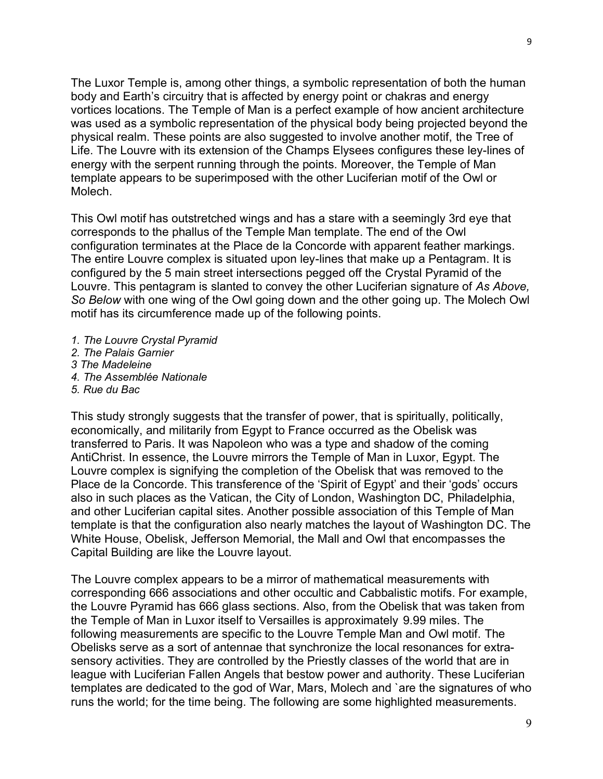The Luxor Temple is, among other things, a symbolic representation of both the human body and Earth's circuitry that is affected by energy point or chakras and energy vortices locations. The Temple of Man is a perfect example of how ancient architecture was used as a symbolic representation of the physical body being projected beyond the physical realm. These points are also suggested to involve another motif, the Tree of Life. The Louvre with its extension of the Champs Elysees configures these ley-lines of energy with the serpent running through the points. Moreover, the Temple of Man template appears to be superimposed with the other Luciferian motif of the Owl or Molech.

This Owl motif has outstretched wings and has a stare with a seemingly 3rd eye that corresponds to the phallus of the Temple Man template. The end of the Owl configuration terminates at the Place de la Concorde with apparent feather markings. The entire Louvre complex is situated upon ley-lines that make up a Pentagram. It is configured by the 5 main street intersections pegged off the Crystal Pyramid of the Louvre. This pentagram is slanted to convey the other Luciferian signature of *As Above, So Below* with one wing of the Owl going down and the other going up. The Molech Owl motif has its circumference made up of the following points.

- *1. The Louvre Crystal Pyramid*
- *2. The Palais Garnier*
- *3 The Madeleine*
- *4. The Assemblée Nationale*
- *5. Rue du Bac*

This study strongly suggests that the transfer of power, that is spiritually, politically, economically, and militarily from Egypt to France occurred as the Obelisk was transferred to Paris. It was Napoleon who was a type and shadow of the coming AntiChrist. In essence, the Louvre mirrors the Temple of Man in Luxor, Egypt. The Louvre complex is signifying the completion of the Obelisk that was removed to the Place de la Concorde. This transference of the 'Spirit of Egypt' and their 'gods' occurs also in such places as the Vatican, the City of London, Washington DC, Philadelphia, and other Luciferian capital sites. Another possible association of this Temple of Man template is that the configuration also nearly matches the layout of Washington DC. The White House, Obelisk, Jefferson Memorial, the Mall and Owl that encompasses the Capital Building are like the Louvre layout.

The Louvre complex appears to be a mirror of mathematical measurements with corresponding 666 associations and other occultic and Cabbalistic motifs. For example, the Louvre Pyramid has 666 glass sections. Also, from the Obelisk that was taken from the Temple of Man in Luxor itself to Versailles is approximately 9.99 miles. The following measurements are specific to the Louvre Temple Man and Owl motif. The Obelisks serve as a sort of antennae that synchronize the local resonances for extrasensory activities. They are controlled by the Priestly classes of the world that are in league with Luciferian Fallen Angels that bestow power and authority. These Luciferian templates are dedicated to the god of War, Mars, Molech and `are the signatures of who runs the world; for the time being. The following are some highlighted measurements.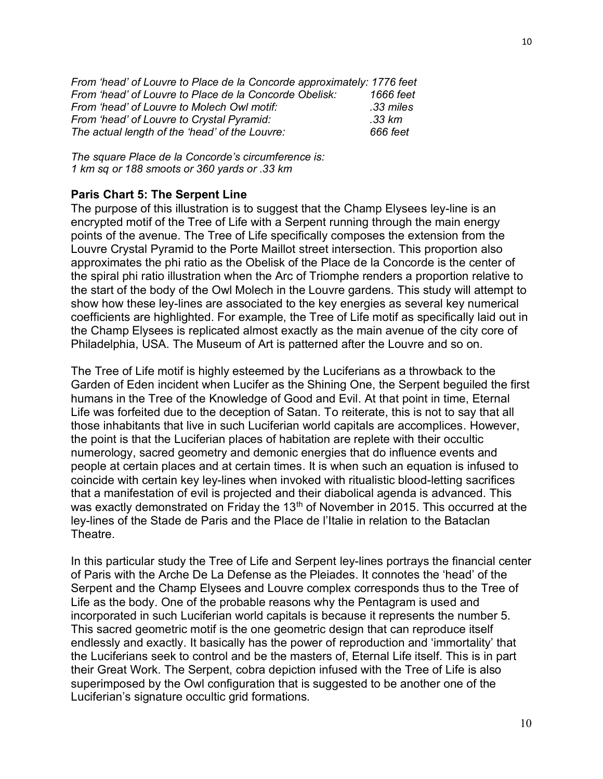*From 'head' of Louvre to Place de la Concorde approximately: 1776 feet From 'head' of Louvre to Place de la Concorde Obelisk: 1666 feet From 'head' of Louvre to Molech Owl motif: .33 miles From 'head' of Louvre to Crystal Pyramid: .33 km The actual length of the 'head' of the Louvre: 666 feet*

*The square Place de la Concorde's circumference is: 1 km sq or 188 smoots or 360 yards or .33 km*

# **Paris Chart 5: The Serpent Line**

The purpose of this illustration is to suggest that the Champ Elysees ley-line is an encrypted motif of the Tree of Life with a Serpent running through the main energy points of the avenue. The Tree of Life specifically composes the extension from the Louvre Crystal Pyramid to the Porte Maillot street intersection. This proportion also approximates the phi ratio as the Obelisk of the Place de la Concorde is the center of the spiral phi ratio illustration when the Arc of Triomphe renders a proportion relative to the start of the body of the Owl Molech in the Louvre gardens. This study will attempt to show how these ley-lines are associated to the key energies as several key numerical coefficients are highlighted. For example, the Tree of Life motif as specifically laid out in the Champ Elysees is replicated almost exactly as the main avenue of the city core of Philadelphia, USA. The Museum of Art is patterned after the Louvre and so on.

The Tree of Life motif is highly esteemed by the Luciferians as a throwback to the Garden of Eden incident when Lucifer as the Shining One, the Serpent beguiled the first humans in the Tree of the Knowledge of Good and Evil. At that point in time, Eternal Life was forfeited due to the deception of Satan. To reiterate, this is not to say that all those inhabitants that live in such Luciferian world capitals are accomplices. However, the point is that the Luciferian places of habitation are replete with their occultic numerology, sacred geometry and demonic energies that do influence events and people at certain places and at certain times. It is when such an equation is infused to coincide with certain key ley-lines when invoked with ritualistic blood-letting sacrifices that a manifestation of evil is projected and their diabolical agenda is advanced. This was exactly demonstrated on Friday the 13<sup>th</sup> of November in 2015. This occurred at the ley-lines of the Stade de Paris and the Place de l'Italie in relation to the Bataclan Theatre.

In this particular study the Tree of Life and Serpent ley-lines portrays the financial center of Paris with the Arche De La Defense as the Pleiades. It connotes the 'head' of the Serpent and the Champ Elysees and Louvre complex corresponds thus to the Tree of Life as the body. One of the probable reasons why the Pentagram is used and incorporated in such Luciferian world capitals is because it represents the number 5. This sacred geometric motif is the one geometric design that can reproduce itself endlessly and exactly. It basically has the power of reproduction and 'immortality' that the Luciferians seek to control and be the masters of, Eternal Life itself. This is in part their Great Work. The Serpent, cobra depiction infused with the Tree of Life is also superimposed by the Owl configuration that is suggested to be another one of the Luciferian's signature occultic grid formations.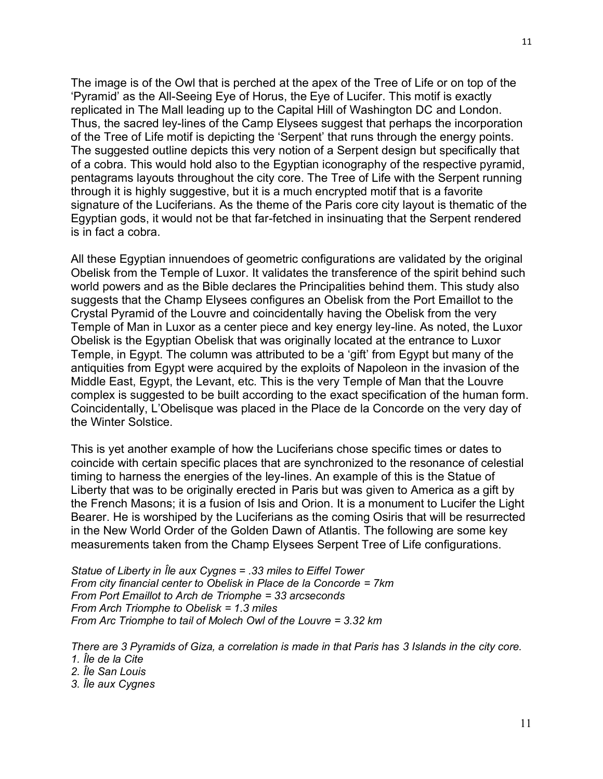The image is of the Owl that is perched at the apex of the Tree of Life or on top of the 'Pyramid' as the All-Seeing Eye of Horus, the Eye of Lucifer. This motif is exactly replicated in The Mall leading up to the Capital Hill of Washington DC and London. Thus, the sacred ley-lines of the Camp Elysees suggest that perhaps the incorporation of the Tree of Life motif is depicting the 'Serpent' that runs through the energy points. The suggested outline depicts this very notion of a Serpent design but specifically that of a cobra. This would hold also to the Egyptian iconography of the respective pyramid, pentagrams layouts throughout the city core. The Tree of Life with the Serpent running through it is highly suggestive, but it is a much encrypted motif that is a favorite signature of the Luciferians. As the theme of the Paris core city layout is thematic of the Egyptian gods, it would not be that far-fetched in insinuating that the Serpent rendered is in fact a cobra.

All these Egyptian innuendoes of geometric configurations are validated by the original Obelisk from the Temple of Luxor. It validates the transference of the spirit behind such world powers and as the Bible declares the Principalities behind them. This study also suggests that the Champ Elysees configures an Obelisk from the Port Emaillot to the Crystal Pyramid of the Louvre and coincidentally having the Obelisk from the very Temple of Man in Luxor as a center piece and key energy ley-line. As noted, the Luxor Obelisk is the Egyptian Obelisk that was originally located at the entrance to Luxor Temple, in Egypt. The column was attributed to be a 'gift' from Egypt but many of the antiquities from Egypt were acquired by the exploits of Napoleon in the invasion of the Middle East, Egypt, the Levant, etc. This is the very Temple of Man that the Louvre complex is suggested to be built according to the exact specification of the human form. Coincidentally, L'Obelisque was placed in the Place de la Concorde on the very day of the Winter Solstice.

This is yet another example of how the Luciferians chose specific times or dates to coincide with certain specific places that are synchronized to the resonance of celestial timing to harness the energies of the ley-lines. An example of this is the Statue of Liberty that was to be originally erected in Paris but was given to America as a gift by the French Masons; it is a fusion of Isis and Orion. It is a monument to Lucifer the Light Bearer. He is worshiped by the Luciferians as the coming Osiris that will be resurrected in the New World Order of the Golden Dawn of Atlantis. The following are some key measurements taken from the Champ Elysees Serpent Tree of Life configurations.

*Statue of Liberty in Île aux Cygnes = .33 miles to Eiffel Tower From city financial center to Obelisk in Place de la Concorde = 7km From Port Emaillot to Arch de Triomphe = 33 arcseconds From Arch Triomphe to Obelisk = 1.3 miles From Arc Triomphe to tail of Molech Owl of the Louvre = 3.32 km*

*There are 3 Pyramids of Giza, a correlation is made in that Paris has 3 Islands in the city core. 1. Île de la Cite 2. Île San Louis 3. Île aux Cygnes*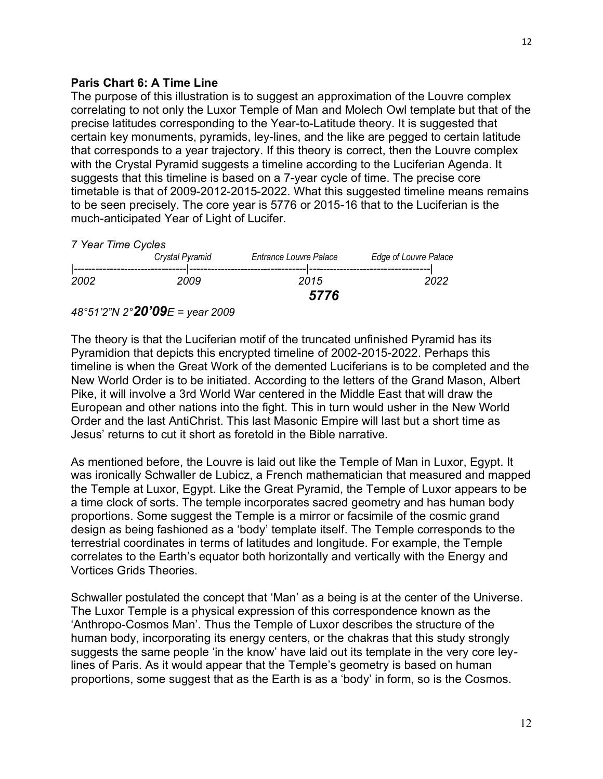# **Paris Chart 6: A Time Line**

The purpose of this illustration is to suggest an approximation of the Louvre complex correlating to not only the Luxor Temple of Man and Molech Owl template but that of the precise latitudes corresponding to the Year-to-Latitude theory. It is suggested that certain key monuments, pyramids, ley-lines, and the like are pegged to certain latitude that corresponds to a year trajectory. If this theory is correct, then the Louvre complex with the Crystal Pyramid suggests a timeline according to the Luciferian Agenda. It suggests that this timeline is based on a 7-year cycle of time. The precise core timetable is that of 2009-2012-2015-2022. What this suggested timeline means remains to be seen precisely. The core year is 5776 or 2015-16 that to the Luciferian is the much-anticipated Year of Light of Lucifer.

*7 Year Time Cycles*

|      | Crystal Pyramid | Entrance Louvre Palace | Edge of Louvre Palace |
|------|-----------------|------------------------|-----------------------|
| 2002 | 2009            | 2015                   | 2022                  |
|      | 5776            |                        |                       |

# *48°51'2"N 2°20'09E = year 2009*

The theory is that the Luciferian motif of the truncated unfinished Pyramid has its Pyramidion that depicts this encrypted timeline of 2002-2015-2022. Perhaps this timeline is when the Great Work of the demented Luciferians is to be completed and the New World Order is to be initiated. According to the letters of the Grand Mason, Albert Pike, it will involve a 3rd World War centered in the Middle East that will draw the European and other nations into the fight. This in turn would usher in the New World Order and the last AntiChrist. This last Masonic Empire will last but a short time as Jesus' returns to cut it short as foretold in the Bible narrative.

As mentioned before, the Louvre is laid out like the Temple of Man in Luxor, Egypt. It was ironically Schwaller de Lubicz, a French mathematician that measured and mapped the Temple at Luxor, Egypt. Like the Great Pyramid, the Temple of Luxor appears to be a time clock of sorts. The temple incorporates sacred geometry and has human body proportions. Some suggest the Temple is a mirror or facsimile of the cosmic grand design as being fashioned as a 'body' template itself. The Temple corresponds to the terrestrial coordinates in terms of latitudes and longitude. For example, the Temple correlates to the Earth's equator both horizontally and vertically with the Energy and Vortices Grids Theories.

Schwaller postulated the concept that 'Man' as a being is at the center of the Universe. The Luxor Temple is a physical expression of this correspondence known as the 'Anthropo-Cosmos Man'. Thus the Temple of Luxor describes the structure of the human body, incorporating its energy centers, or the chakras that this study strongly suggests the same people 'in the know' have laid out its template in the very core leylines of Paris. As it would appear that the Temple's geometry is based on human proportions, some suggest that as the Earth is as a 'body' in form, so is the Cosmos.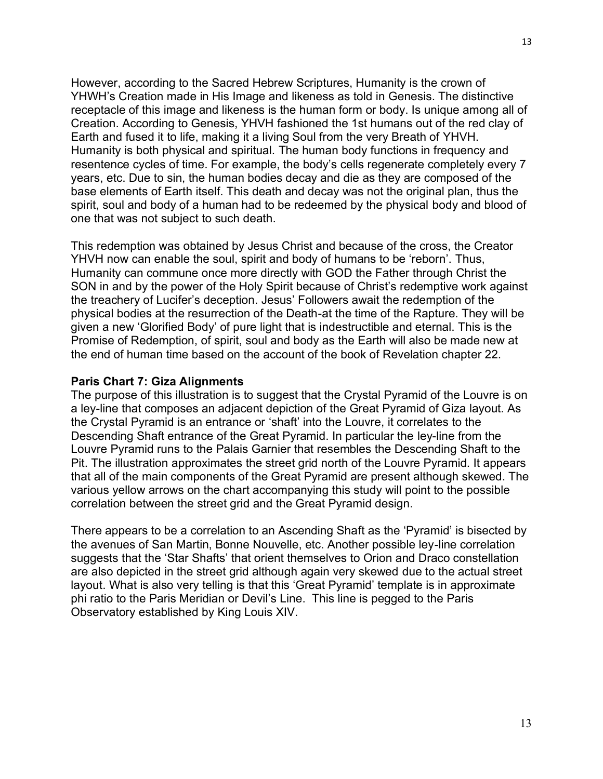However, according to the Sacred Hebrew Scriptures, Humanity is the crown of YHWH's Creation made in His Image and likeness as told in Genesis. The distinctive receptacle of this image and likeness is the human form or body. Is unique among all of Creation. According to Genesis, YHVH fashioned the 1st humans out of the red clay of Earth and fused it to life, making it a living Soul from the very Breath of YHVH. Humanity is both physical and spiritual. The human body functions in frequency and resentence cycles of time. For example, the body's cells regenerate completely every 7 years, etc. Due to sin, the human bodies decay and die as they are composed of the base elements of Earth itself. This death and decay was not the original plan, thus the spirit, soul and body of a human had to be redeemed by the physical body and blood of one that was not subject to such death.

This redemption was obtained by Jesus Christ and because of the cross, the Creator YHVH now can enable the soul, spirit and body of humans to be 'reborn'. Thus, Humanity can commune once more directly with GOD the Father through Christ the SON in and by the power of the Holy Spirit because of Christ's redemptive work against the treachery of Lucifer's deception. Jesus' Followers await the redemption of the physical bodies at the resurrection of the Death-at the time of the Rapture. They will be given a new 'Glorified Body' of pure light that is indestructible and eternal. This is the Promise of Redemption, of spirit, soul and body as the Earth will also be made new at the end of human time based on the account of the book of Revelation chapter 22.

# **Paris Chart 7: Giza Alignments**

The purpose of this illustration is to suggest that the Crystal Pyramid of the Louvre is on a ley-line that composes an adjacent depiction of the Great Pyramid of Giza layout. As the Crystal Pyramid is an entrance or 'shaft' into the Louvre, it correlates to the Descending Shaft entrance of the Great Pyramid. In particular the ley-line from the Louvre Pyramid runs to the Palais Garnier that resembles the Descending Shaft to the Pit. The illustration approximates the street grid north of the Louvre Pyramid. It appears that all of the main components of the Great Pyramid are present although skewed. The various yellow arrows on the chart accompanying this study will point to the possible correlation between the street grid and the Great Pyramid design.

There appears to be a correlation to an Ascending Shaft as the 'Pyramid' is bisected by the avenues of San Martin, Bonne Nouvelle, etc. Another possible ley-line correlation suggests that the 'Star Shafts' that orient themselves to Orion and Draco constellation are also depicted in the street grid although again very skewed due to the actual street layout. What is also very telling is that this 'Great Pyramid' template is in approximate phi ratio to the Paris Meridian or Devil's Line. This line is pegged to the Paris Observatory established by King Louis XIV.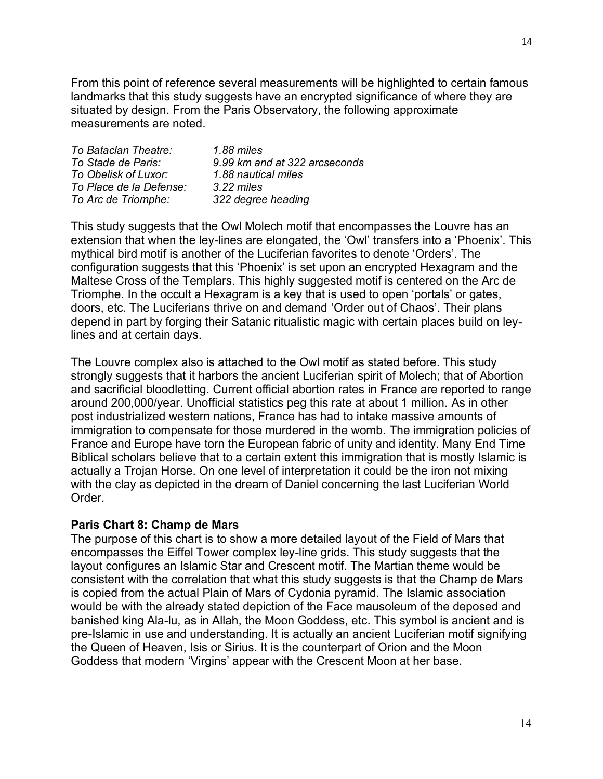From this point of reference several measurements will be highlighted to certain famous landmarks that this study suggests have an encrypted significance of where they are situated by design. From the Paris Observatory, the following approximate measurements are noted.

| To Bataclan Theatre:    | 1.88 miles                    |
|-------------------------|-------------------------------|
| To Stade de Paris:      | 9.99 km and at 322 arcseconds |
| To Obelisk of Luxor:    | 1.88 nautical miles           |
| To Place de la Defense: | $3.22$ miles                  |
| To Arc de Triomphe:     | 322 degree heading            |

This study suggests that the Owl Molech motif that encompasses the Louvre has an extension that when the ley-lines are elongated, the 'Owl' transfers into a 'Phoenix'. This mythical bird motif is another of the Luciferian favorites to denote 'Orders'. The configuration suggests that this 'Phoenix' is set upon an encrypted Hexagram and the Maltese Cross of the Templars. This highly suggested motif is centered on the Arc de Triomphe. In the occult a Hexagram is a key that is used to open 'portals' or gates, doors, etc. The Luciferians thrive on and demand 'Order out of Chaos'. Their plans depend in part by forging their Satanic ritualistic magic with certain places build on leylines and at certain days.

The Louvre complex also is attached to the Owl motif as stated before. This study strongly suggests that it harbors the ancient Luciferian spirit of Molech; that of Abortion and sacrificial bloodletting. Current official abortion rates in France are reported to range around 200,000/year. Unofficial statistics peg this rate at about 1 million. As in other post industrialized western nations, France has had to intake massive amounts of immigration to compensate for those murdered in the womb. The immigration policies of France and Europe have torn the European fabric of unity and identity. Many End Time Biblical scholars believe that to a certain extent this immigration that is mostly Islamic is actually a Trojan Horse. On one level of interpretation it could be the iron not mixing with the clay as depicted in the dream of Daniel concerning the last Luciferian World Order.

# **Paris Chart 8: Champ de Mars**

The purpose of this chart is to show a more detailed layout of the Field of Mars that encompasses the Eiffel Tower complex ley-line grids. This study suggests that the layout configures an Islamic Star and Crescent motif. The Martian theme would be consistent with the correlation that what this study suggests is that the Champ de Mars is copied from the actual Plain of Mars of Cydonia pyramid. The Islamic association would be with the already stated depiction of the Face mausoleum of the deposed and banished king Ala-lu, as in Allah, the Moon Goddess, etc. This symbol is ancient and is pre-Islamic in use and understanding. It is actually an ancient Luciferian motif signifying the Queen of Heaven, Isis or Sirius. It is the counterpart of Orion and the Moon Goddess that modern 'Virgins' appear with the Crescent Moon at her base.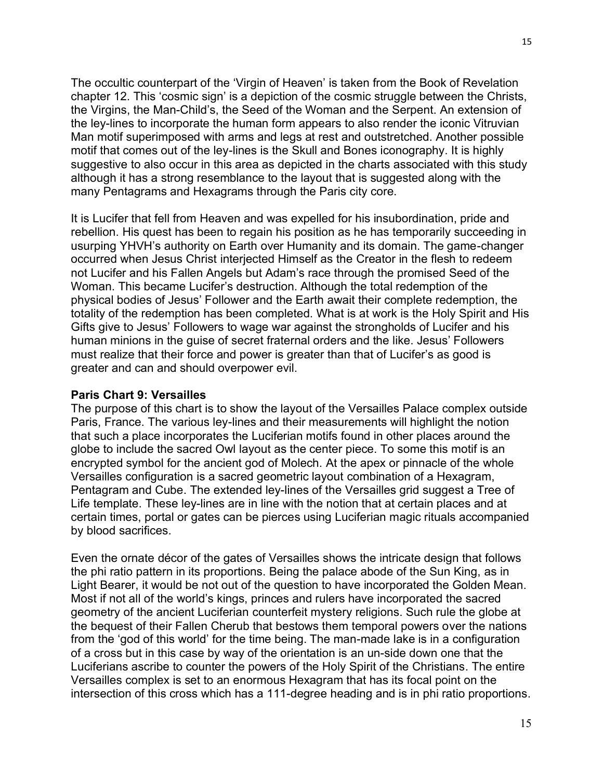The occultic counterpart of the 'Virgin of Heaven' is taken from the Book of Revelation chapter 12. This 'cosmic sign' is a depiction of the cosmic struggle between the Christs, the Virgins, the Man-Child's, the Seed of the Woman and the Serpent. An extension of the ley-lines to incorporate the human form appears to also render the iconic Vitruvian Man motif superimposed with arms and legs at rest and outstretched. Another possible motif that comes out of the ley-lines is the Skull and Bones iconography. It is highly suggestive to also occur in this area as depicted in the charts associated with this study although it has a strong resemblance to the layout that is suggested along with the many Pentagrams and Hexagrams through the Paris city core.

It is Lucifer that fell from Heaven and was expelled for his insubordination, pride and rebellion. His quest has been to regain his position as he has temporarily succeeding in usurping YHVH's authority on Earth over Humanity and its domain. The game-changer occurred when Jesus Christ interjected Himself as the Creator in the flesh to redeem not Lucifer and his Fallen Angels but Adam's race through the promised Seed of the Woman. This became Lucifer's destruction. Although the total redemption of the physical bodies of Jesus' Follower and the Earth await their complete redemption, the totality of the redemption has been completed. What is at work is the Holy Spirit and His Gifts give to Jesus' Followers to wage war against the strongholds of Lucifer and his human minions in the guise of secret fraternal orders and the like. Jesus' Followers must realize that their force and power is greater than that of Lucifer's as good is greater and can and should overpower evil.

#### **Paris Chart 9: Versailles**

The purpose of this chart is to show the layout of the Versailles Palace complex outside Paris, France. The various ley-lines and their measurements will highlight the notion that such a place incorporates the Luciferian motifs found in other places around the globe to include the sacred Owl layout as the center piece. To some this motif is an encrypted symbol for the ancient god of Molech. At the apex or pinnacle of the whole Versailles configuration is a sacred geometric layout combination of a Hexagram, Pentagram and Cube. The extended ley-lines of the Versailles grid suggest a Tree of Life template. These ley-lines are in line with the notion that at certain places and at certain times, portal or gates can be pierces using Luciferian magic rituals accompanied by blood sacrifices.

Even the ornate décor of the gates of Versailles shows the intricate design that follows the phi ratio pattern in its proportions. Being the palace abode of the Sun King, as in Light Bearer, it would be not out of the question to have incorporated the Golden Mean. Most if not all of the world's kings, princes and rulers have incorporated the sacred geometry of the ancient Luciferian counterfeit mystery religions. Such rule the globe at the bequest of their Fallen Cherub that bestows them temporal powers over the nations from the 'god of this world' for the time being. The man-made lake is in a configuration of a cross but in this case by way of the orientation is an un-side down one that the Luciferians ascribe to counter the powers of the Holy Spirit of the Christians. The entire Versailles complex is set to an enormous Hexagram that has its focal point on the intersection of this cross which has a 111-degree heading and is in phi ratio proportions.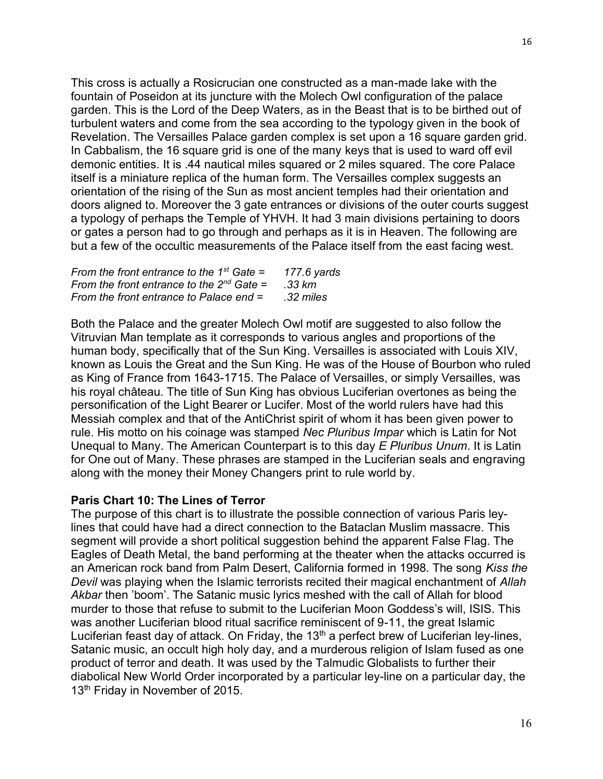This cross is actually a Rosicrucian one constructed as a man-made lake with the fountain of Poseidon at its juncture with the Molech Owl configuration of the palace garden. This is the Lord of the Deep Waters, as in the Beast that is to be birthed out of turbulent waters and come from the sea according to the typology given in the book of Revelation. The Versailles Palace garden complex is set upon a 16 square garden grid. In Cabbalism, the 16 square grid is one of the many keys that is used to ward off evil demonic entities. It is .44 nautical miles squared or 2 miles squared. The core Palace itself is a miniature replica of the human form. The Versailles complex suggests an orientation of the rising of the Sun as most ancient temples had their orientation and doors aligned to. Moreover the 3 gate entrances or divisions of the outer courts suggest a typology of perhaps the Temple of YHVH. It had 3 main divisions pertaining to doors or gates a person had to go through and perhaps as it is in Heaven. The following are but a few of the occultic measurements of the Palace itself from the east facing west.

| From the front entrance to the 1 <sup>st</sup> Gate = | 177.6 yards |
|-------------------------------------------------------|-------------|
| From the front entrance to the $2^{nd}$ Gate =        | .33 km      |
| From the front entrance to Palace end =               | .32 miles   |

Both the Palace and the greater Molech Owl motif are suggested to also follow the Vitruvian Man template as it corresponds to various angles and proportions of the human body, specifically that of the Sun King. Versailles is associated with Louis XIV, known as Louis the Great and the Sun King. He was of the House of Bourbon who ruled as King of France from 1643-1715. The Palace of Versailles, or simply Versailles, was his royal château. The title of Sun King has obvious Luciferian overtones as being the personification of the Light Bearer or Lucifer. Most of the world rulers have had this Messiah complex and that of the AntiChrist spirit of whom it has been given power to rule. His motto on his coinage was stamped *Nec Pluribus Impar* which is Latin for Not Unequal to Many. The American Counterpart is to this day *E Pluribus Unum*. It is Latin for One out of Many. These phrases are stamped in the Luciferian seals and engraving along with the money their Money Changers print to rule world by.

# **Paris Chart 10: The Lines of Terror**

The purpose of this chart is to illustrate the possible connection of various Paris leylines that could have had a direct connection to the Bataclan Muslim massacre. This segment will provide a short political suggestion behind the apparent False Flag. The Eagles of Death Metal, the band performing at the theater when the attacks occurred is an American rock band from Palm Desert, California formed in 1998. The song *Kiss the Devil* was playing when the Islamic terrorists recited their magical enchantment of *Allah Akbar* then 'boom'. The Satanic music lyrics meshed with the call of Allah for blood murder to those that refuse to submit to the Luciferian Moon Goddess's will, ISIS. This was another Luciferian blood ritual sacrifice reminiscent of 9-11, the great Islamic Luciferian feast day of attack. On Friday, the  $13<sup>th</sup>$  a perfect brew of Luciferian ley-lines, Satanic music, an occult high holy day, and a murderous religion of Islam fused as one product of terror and death. It was used by the Talmudic Globalists to further their diabolical New World Order incorporated by a particular ley-line on a particular day, the 13<sup>th</sup> Friday in November of 2015.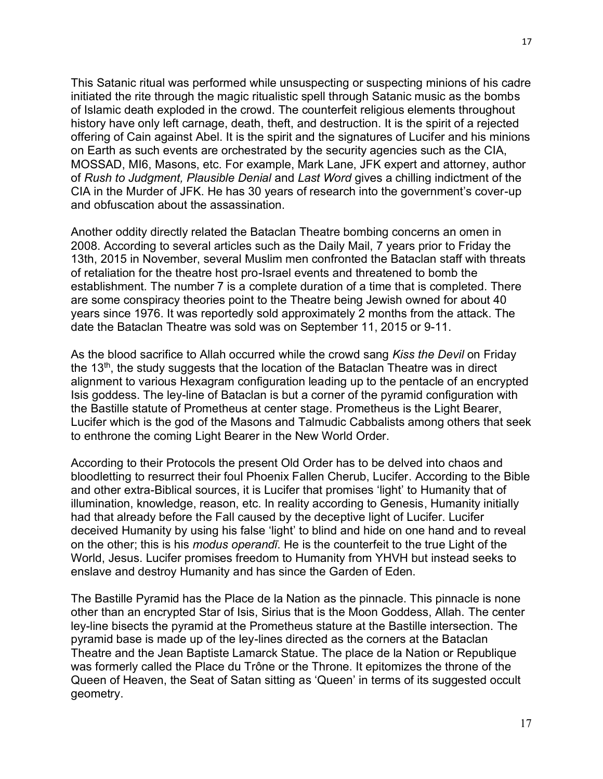This Satanic ritual was performed while unsuspecting or suspecting minions of his cadre initiated the rite through the magic ritualistic spell through Satanic music as the bombs of Islamic death exploded in the crowd. The counterfeit religious elements throughout history have only left carnage, death, theft, and destruction. It is the spirit of a rejected offering of Cain against Abel. It is the spirit and the signatures of Lucifer and his minions on Earth as such events are orchestrated by the security agencies such as the CIA, MOSSAD, MI6, Masons, etc. For example, Mark Lane, JFK expert and attorney, author of *Rush to Judgment, Plausible Denial* and *Last Word* gives a chilling indictment of the CIA in the Murder of JFK. He has 30 years of research into the government's cover-up and obfuscation about the assassination.

Another oddity directly related the Bataclan Theatre bombing concerns an omen in 2008. According to several articles such as the Daily Mail, 7 years prior to Friday the 13th, 2015 in November, several Muslim men confronted the Bataclan staff with threats of retaliation for the theatre host pro-Israel events and threatened to bomb the establishment. The number 7 is a complete duration of a time that is completed. There are some conspiracy theories point to the Theatre being Jewish owned for about 40 years since 1976. It was reportedly sold approximately 2 months from the attack. The date the Bataclan Theatre was sold was on September 11, 2015 or 9-11.

As the blood sacrifice to Allah occurred while the crowd sang *Kiss the Devil* on Friday the 13 $th$ , the study suggests that the location of the Bataclan Theatre was in direct alignment to various Hexagram configuration leading up to the pentacle of an encrypted Isis goddess. The ley-line of Bataclan is but a corner of the pyramid configuration with the Bastille statute of Prometheus at center stage. Prometheus is the Light Bearer, Lucifer which is the god of the Masons and Talmudic Cabbalists among others that seek to enthrone the coming Light Bearer in the New World Order.

According to their Protocols the present Old Order has to be delved into chaos and bloodletting to resurrect their foul Phoenix Fallen Cherub, Lucifer. According to the Bible and other extra-Biblical sources, it is Lucifer that promises 'light' to Humanity that of illumination, knowledge, reason, etc. In reality according to Genesis, Humanity initially had that already before the Fall caused by the deceptive light of Lucifer. Lucifer deceived Humanity by using his false 'light' to blind and hide on one hand and to reveal on the other; this is his *modus operandī*. He is the counterfeit to the true Light of the World, Jesus. Lucifer promises freedom to Humanity from YHVH but instead seeks to enslave and destroy Humanity and has since the Garden of Eden.

The Bastille Pyramid has the Place de la Nation as the pinnacle. This pinnacle is none other than an encrypted Star of Isis, Sirius that is the Moon Goddess, Allah. The center ley-line bisects the pyramid at the Prometheus stature at the Bastille intersection. The pyramid base is made up of the ley-lines directed as the corners at the Bataclan Theatre and the Jean Baptiste Lamarck Statue. The place de la Nation or Republique was formerly called the Place du Trône or the Throne. It epitomizes the throne of the Queen of Heaven, the Seat of Satan sitting as 'Queen' in terms of its suggested occult geometry.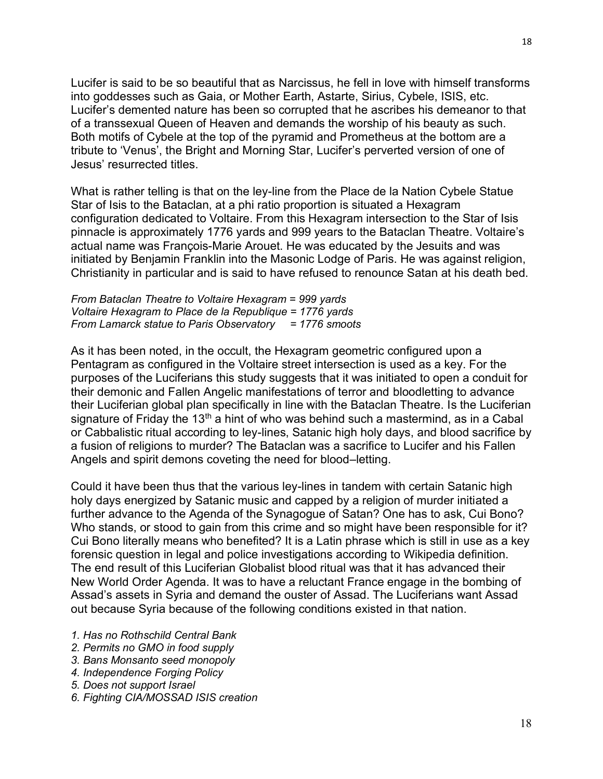Lucifer is said to be so beautiful that as Narcissus, he fell in love with himself transforms into goddesses such as Gaia, or Mother Earth, Astarte, Sirius, Cybele, ISIS, etc. Lucifer's demented nature has been so corrupted that he ascribes his demeanor to that of a transsexual Queen of Heaven and demands the worship of his beauty as such. Both motifs of Cybele at the top of the pyramid and Prometheus at the bottom are a tribute to 'Venus', the Bright and Morning Star, Lucifer's perverted version of one of Jesus' resurrected titles.

What is rather telling is that on the ley-line from the Place de la Nation Cybele Statue Star of Isis to the Bataclan, at a phi ratio proportion is situated a Hexagram configuration dedicated to Voltaire. From this Hexagram intersection to the Star of Isis pinnacle is approximately 1776 yards and 999 years to the Bataclan Theatre. Voltaire's actual name was François-Marie Arouet. He was educated by the Jesuits and was initiated by Benjamin Franklin into the Masonic Lodge of Paris. He was against religion, Christianity in particular and is said to have refused to renounce Satan at his death bed.

*From Bataclan Theatre to Voltaire Hexagram = 999 yards Voltaire Hexagram to Place de la Republique = 1776 yards From Lamarck statue to Paris Observatory = 1776 smoots*

As it has been noted, in the occult, the Hexagram geometric configured upon a Pentagram as configured in the Voltaire street intersection is used as a key. For the purposes of the Luciferians this study suggests that it was initiated to open a conduit for their demonic and Fallen Angelic manifestations of terror and bloodletting to advance their Luciferian global plan specifically in line with the Bataclan Theatre. Is the Luciferian signature of Friday the 13<sup>th</sup> a hint of who was behind such a mastermind, as in a Cabal or Cabbalistic ritual according to ley-lines, Satanic high holy days, and blood sacrifice by a fusion of religions to murder? The Bataclan was a sacrifice to Lucifer and his Fallen Angels and spirit demons coveting the need for blood–letting.

Could it have been thus that the various ley-lines in tandem with certain Satanic high holy days energized by Satanic music and capped by a religion of murder initiated a further advance to the Agenda of the Synagogue of Satan? One has to ask, Cui Bono? Who stands, or stood to gain from this crime and so might have been responsible for it? Cui Bono literally means who benefited? It is a Latin phrase which is still in use as a key forensic question in legal and police investigations according to Wikipedia definition. The end result of this Luciferian Globalist blood ritual was that it has advanced their New World Order Agenda. It was to have a reluctant France engage in the bombing of Assad's assets in Syria and demand the ouster of Assad. The Luciferians want Assad out because Syria because of the following conditions existed in that nation.

- *1. Has no Rothschild Central Bank*
- *2. Permits no GMO in food supply*
- *3. Bans Monsanto seed monopoly*
- *4. Independence Forging Policy*
- *5. Does not support Israel*
- *6. Fighting CIA/MOSSAD ISIS creation*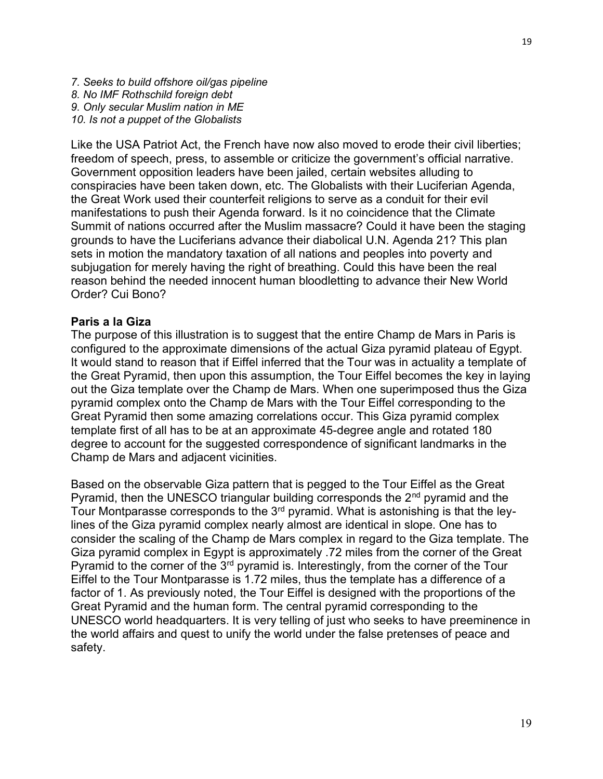*7. Seeks to build offshore oil/gas pipeline 8. No IMF Rothschild foreign debt 9. Only secular Muslim nation in ME 10. Is not a puppet of the Globalists*

Like the USA Patriot Act, the French have now also moved to erode their civil liberties; freedom of speech, press, to assemble or criticize the government's official narrative. Government opposition leaders have been jailed, certain websites alluding to conspiracies have been taken down, etc. The Globalists with their Luciferian Agenda, the Great Work used their counterfeit religions to serve as a conduit for their evil manifestations to push their Agenda forward. Is it no coincidence that the Climate Summit of nations occurred after the Muslim massacre? Could it have been the staging grounds to have the Luciferians advance their diabolical U.N. Agenda 21? This plan sets in motion the mandatory taxation of all nations and peoples into poverty and subjugation for merely having the right of breathing. Could this have been the real reason behind the needed innocent human bloodletting to advance their New World Order? Cui Bono?

# **Paris a la Giza**

The purpose of this illustration is to suggest that the entire Champ de Mars in Paris is configured to the approximate dimensions of the actual Giza pyramid plateau of Egypt. It would stand to reason that if Eiffel inferred that the Tour was in actuality a template of the Great Pyramid, then upon this assumption, the Tour Eiffel becomes the key in laying out the Giza template over the Champ de Mars. When one superimposed thus the Giza pyramid complex onto the Champ de Mars with the Tour Eiffel corresponding to the Great Pyramid then some amazing correlations occur. This Giza pyramid complex template first of all has to be at an approximate 45-degree angle and rotated 180 degree to account for the suggested correspondence of significant landmarks in the Champ de Mars and adjacent vicinities.

Based on the observable Giza pattern that is pegged to the Tour Eiffel as the Great Pyramid, then the UNESCO triangular building corresponds the  $2<sup>nd</sup>$  pyramid and the Tour Montparasse corresponds to the  $3<sup>rd</sup>$  pyramid. What is astonishing is that the leylines of the Giza pyramid complex nearly almost are identical in slope. One has to consider the scaling of the Champ de Mars complex in regard to the Giza template. The Giza pyramid complex in Egypt is approximately .72 miles from the corner of the Great Pyramid to the corner of the 3<sup>rd</sup> pyramid is. Interestingly, from the corner of the Tour Eiffel to the Tour Montparasse is 1.72 miles, thus the template has a difference of a factor of 1. As previously noted, the Tour Eiffel is designed with the proportions of the Great Pyramid and the human form. The central pyramid corresponding to the UNESCO world headquarters. It is very telling of just who seeks to have preeminence in the world affairs and quest to unify the world under the false pretenses of peace and safety.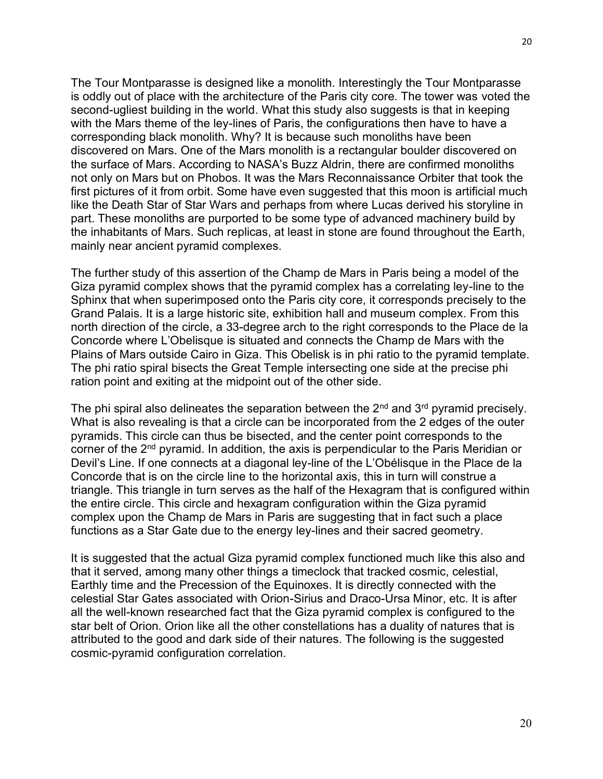The Tour Montparasse is designed like a monolith. Interestingly the Tour Montparasse is oddly out of place with the architecture of the Paris city core. The tower was voted the second-ugliest building in the world. What this study also suggests is that in keeping with the Mars theme of the ley-lines of Paris, the configurations then have to have a corresponding black monolith. Why? It is because such monoliths have been discovered on Mars. One of the Mars monolith is a rectangular boulder discovered on the surface of Mars. According to NASA's Buzz Aldrin, there are confirmed monoliths not only on Mars but on Phobos. It was the Mars Reconnaissance Orbiter that took the first pictures of it from orbit. Some have even suggested that this moon is artificial much like the Death Star of Star Wars and perhaps from where Lucas derived his storyline in part. These monoliths are purported to be some type of advanced machinery build by the inhabitants of Mars. Such replicas, at least in stone are found throughout the Earth, mainly near ancient pyramid complexes.

The further study of this assertion of the Champ de Mars in Paris being a model of the Giza pyramid complex shows that the pyramid complex has a correlating ley-line to the Sphinx that when superimposed onto the Paris city core, it corresponds precisely to the Grand Palais. It is a large historic site, exhibition hall and museum complex. From this north direction of the circle, a 33-degree arch to the right corresponds to the Place de la Concorde where L'Obelisque is situated and connects the Champ de Mars with the Plains of Mars outside Cairo in Giza. This Obelisk is in phi ratio to the pyramid template. The phi ratio spiral bisects the Great Temple intersecting one side at the precise phi ration point and exiting at the midpoint out of the other side.

The phi spiral also delineates the separation between the  $2^{nd}$  and  $3^{rd}$  pyramid precisely. What is also revealing is that a circle can be incorporated from the 2 edges of the outer pyramids. This circle can thus be bisected, and the center point corresponds to the corner of the 2<sup>nd</sup> pyramid. In addition, the axis is perpendicular to the Paris Meridian or Devil's Line. If one connects at a diagonal ley-line of the L'Obélisque in the Place de la Concorde that is on the circle line to the horizontal axis, this in turn will construe a triangle. This triangle in turn serves as the half of the Hexagram that is configured within the entire circle. This circle and hexagram configuration within the Giza pyramid complex upon the Champ de Mars in Paris are suggesting that in fact such a place functions as a Star Gate due to the energy ley-lines and their sacred geometry.

It is suggested that the actual Giza pyramid complex functioned much like this also and that it served, among many other things a timeclock that tracked cosmic, celestial, Earthly time and the Precession of the Equinoxes. It is directly connected with the celestial Star Gates associated with Orion-Sirius and Draco-Ursa Minor, etc. It is after all the well-known researched fact that the Giza pyramid complex is configured to the star belt of Orion. Orion like all the other constellations has a duality of natures that is attributed to the good and dark side of their natures. The following is the suggested cosmic-pyramid configuration correlation.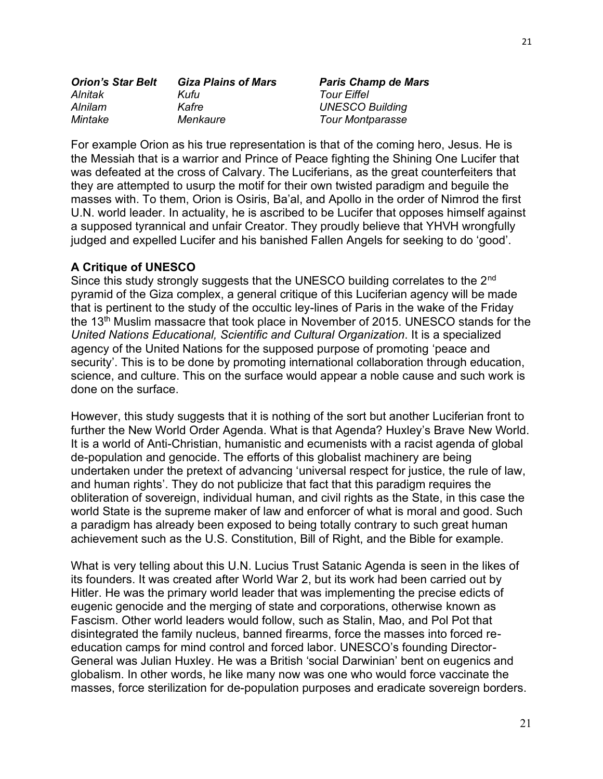| <b>Orion's Star Belt</b> | <b>Giza Plains of Mars</b> | <b>Paris Champ de Mars</b> |
|--------------------------|----------------------------|----------------------------|
| Alnitak                  | Kufu                       | <b>Tour Eiffel</b>         |
| Alnilam                  | Kafre                      | <b>UNESCO Building</b>     |
| Mintake                  | Menkaure                   | <b>Tour Montparasse</b>    |

For example Orion as his true representation is that of the coming hero, Jesus. He is the Messiah that is a warrior and Prince of Peace fighting the Shining One Lucifer that was defeated at the cross of Calvary. The Luciferians, as the great counterfeiters that they are attempted to usurp the motif for their own twisted paradigm and beguile the masses with. To them, Orion is Osiris, Ba'al, and Apollo in the order of Nimrod the first U.N. world leader. In actuality, he is ascribed to be Lucifer that opposes himself against a supposed tyrannical and unfair Creator. They proudly believe that YHVH wrongfully judged and expelled Lucifer and his banished Fallen Angels for seeking to do 'good'.

# **A Critique of UNESCO**

Since this study strongly suggests that the UNESCO building correlates to the 2<sup>nd</sup> pyramid of the Giza complex, a general critique of this Luciferian agency will be made that is pertinent to the study of the occultic ley-lines of Paris in the wake of the Friday the 13<sup>th</sup> Muslim massacre that took place in November of 2015. UNESCO stands for the *United Nations Educational, Scientific and Cultural Organization*. It is a specialized agency of the United Nations for the supposed purpose of promoting 'peace and security'. This is to be done by promoting international collaboration through education, science, and culture. This on the surface would appear a noble cause and such work is done on the surface.

However, this study suggests that it is nothing of the sort but another Luciferian front to further the New World Order Agenda. What is that Agenda? Huxley's Brave New World. It is a world of Anti-Christian, humanistic and ecumenists with a racist agenda of global de-population and genocide. The efforts of this globalist machinery are being undertaken under the pretext of advancing 'universal respect for justice, the rule of law, and human rights'. They do not publicize that fact that this paradigm requires the obliteration of sovereign, individual human, and civil rights as the State, in this case the world State is the supreme maker of law and enforcer of what is moral and good. Such a paradigm has already been exposed to being totally contrary to such great human achievement such as the U.S. Constitution, Bill of Right, and the Bible for example.

What is very telling about this U.N. Lucius Trust Satanic Agenda is seen in the likes of its founders. It was created after World War 2, but its work had been carried out by Hitler. He was the primary world leader that was implementing the precise edicts of eugenic genocide and the merging of state and corporations, otherwise known as Fascism. Other world leaders would follow, such as Stalin, Mao, and Pol Pot that disintegrated the family nucleus, banned firearms, force the masses into forced reeducation camps for mind control and forced labor. UNESCO's founding Director-General was Julian Huxley. He was a British 'social Darwinian' bent on eugenics and globalism. In other words, he like many now was one who would force vaccinate the masses, force sterilization for de-population purposes and eradicate sovereign borders.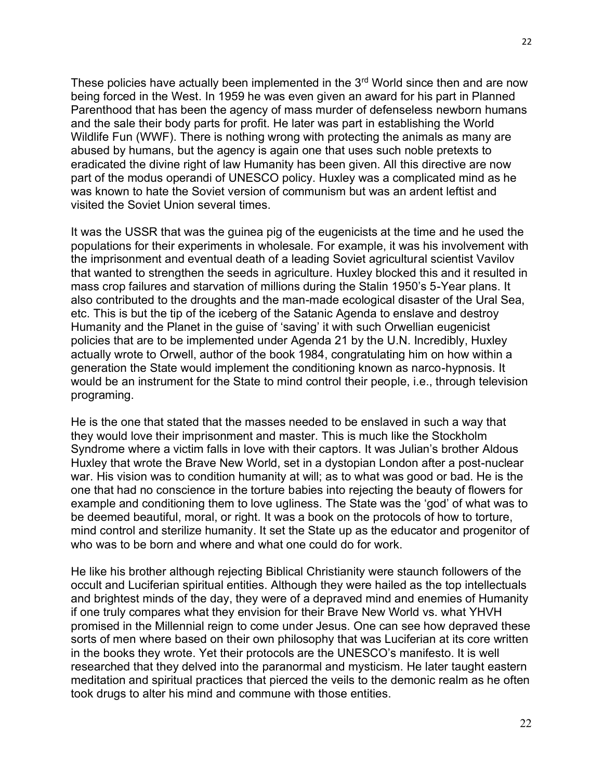These policies have actually been implemented in the  $3<sup>rd</sup>$  World since then and are now being forced in the West. In 1959 he was even given an award for his part in Planned Parenthood that has been the agency of mass murder of defenseless newborn humans and the sale their body parts for profit. He later was part in establishing the World Wildlife Fun (WWF). There is nothing wrong with protecting the animals as many are abused by humans, but the agency is again one that uses such noble pretexts to eradicated the divine right of law Humanity has been given. All this directive are now part of the modus operandi of UNESCO policy. Huxley was a complicated mind as he was known to hate the Soviet version of communism but was an ardent leftist and visited the Soviet Union several times.

It was the USSR that was the guinea pig of the eugenicists at the time and he used the populations for their experiments in wholesale. For example, it was his involvement with the imprisonment and eventual death of a leading Soviet agricultural scientist Vavilov that wanted to strengthen the seeds in agriculture. Huxley blocked this and it resulted in mass crop failures and starvation of millions during the Stalin 1950's 5-Year plans. It also contributed to the droughts and the man-made ecological disaster of the Ural Sea, etc. This is but the tip of the iceberg of the Satanic Agenda to enslave and destroy Humanity and the Planet in the guise of 'saving' it with such Orwellian eugenicist policies that are to be implemented under Agenda 21 by the U.N. Incredibly, Huxley actually wrote to Orwell, author of the book 1984, congratulating him on how within a generation the State would implement the conditioning known as narco-hypnosis. It would be an instrument for the State to mind control their people, i.e., through television programing.

He is the one that stated that the masses needed to be enslaved in such a way that they would love their imprisonment and master. This is much like the Stockholm Syndrome where a victim falls in love with their captors. It was Julian's brother Aldous Huxley that wrote the Brave New World, set in a dystopian London after a post-nuclear war. His vision was to condition humanity at will; as to what was good or bad. He is the one that had no conscience in the torture babies into rejecting the beauty of flowers for example and conditioning them to love ugliness. The State was the 'god' of what was to be deemed beautiful, moral, or right. It was a book on the protocols of how to torture, mind control and sterilize humanity. It set the State up as the educator and progenitor of who was to be born and where and what one could do for work.

He like his brother although rejecting Biblical Christianity were staunch followers of the occult and Luciferian spiritual entities. Although they were hailed as the top intellectuals and brightest minds of the day, they were of a depraved mind and enemies of Humanity if one truly compares what they envision for their Brave New World vs. what YHVH promised in the Millennial reign to come under Jesus. One can see how depraved these sorts of men where based on their own philosophy that was Luciferian at its core written in the books they wrote. Yet their protocols are the UNESCO's manifesto. It is well researched that they delved into the paranormal and mysticism. He later taught eastern meditation and spiritual practices that pierced the veils to the demonic realm as he often took drugs to alter his mind and commune with those entities.